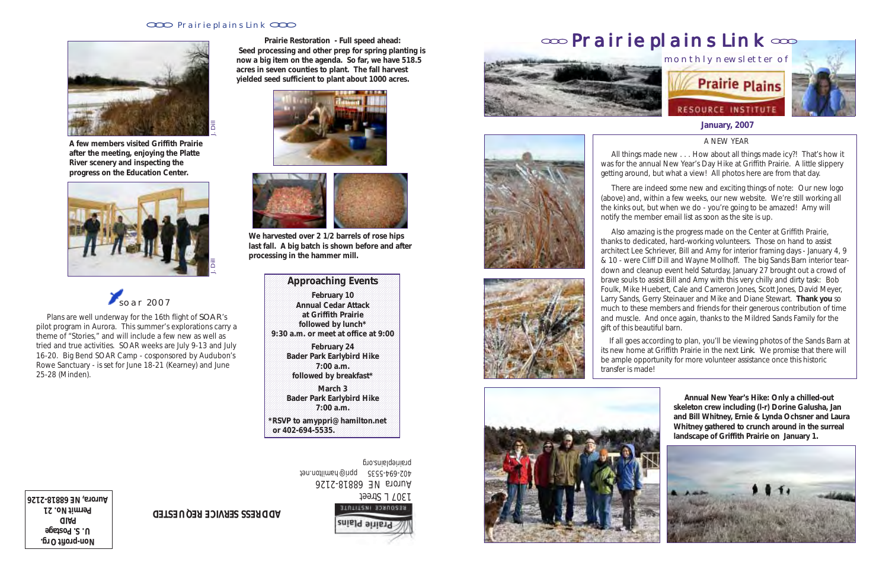A NEW YEAR

 All things made new . . . How about all things made icy?! That's how it was for the annual New Year's Day Hike at Griffith Prairie. A little slippery getting around, but what a view! All photos here are from that day.

 There are indeed some new and exciting things of note: Our new logo (above) and, within a few weeks, our new website. We're still working all the kinks out, but when we do - you're going to be amazed! Amy will notify the member email list as soon as the site is up.

 Also amazing is the progress made on the Center at Griffith Prairie, thanks to dedicated, hard-working volunteers. Those on hand to assist architect Lee Schriever, Bill and Amy for interior framing days - January 4, 9 & 10 - were Cliff Dill and Wayne Mollhoff. The big Sands Barn interior teardown and cleanup event held Saturday, January 27 brought out a crowd of brave souls to assist Bill and Amy with this very chilly and dirty task: Bob Foulk, Mike Huebert, Cale and Cameron Jones, Scott Jones, David Meyer, Larry Sands, Gerry Steinauer and Mike and Diane Stewart. **Thank you** so much to these members and friends for their generous contribution of time and muscle. And once again, thanks to the Mildred Sands Family for the gift of this beautiful barn.

Non-profit Org. **U. S. Postage PAID Permit No. 21**

**Aurora, NE 6818-21261**<br>Resource Institute Aurora NE 68818-2126 402-694-5535 ppri@hamilton.net prairieplains.org



 If all goes according to plan, you'll be viewing photos of the Sands Barn at its new home at Griffith Prairie in the next *Link*. We promise that there will be ample opportunity for more volunteer assistance once this historic transfer is made!







### **CCC** Prairie plains Link CCC





**A few members visited Griffith Prairie after the meeting, enjoying the Platte River scenery and inspecting the progress on the Education Center.**

 Plans are well underway for the 16th flight of SOAR's pilot program in Aurora. This summer's explorations carry a theme of "Stories," and will include a few new as well as tried and true activities. SOAR weeks are July 9-13 and July 16-20. Big Bend SOAR Camp - cosponsored by Audubon's Rowe Sanctuary - is set for June 18-21 (Kearney) and June 25-28 (Minden).



## **ADDRESS SERVICE REQUESTED**

**Prairie Restoration - Full speed ahead: Seed processing and other prep for spring planting is now a big item on the agenda. So far, we have 518.5 acres in seven counties to plant. The fall harvest yielded seed sufficient to plant about 1000 acres.**





**We harvested over 2 1/2 barrels of rose hips last fall. A big batch is shown before and after processing in the hammer mill.**

### 123456789012345678901234567890121234567890123456789012345678901 **Approaching Events** 1 1 1 1

**February 10** 1 1 1 1 1 1 1 1 **Annual Cedar Attack** 1 1 1 1 1 1 1 1 1 1 **at Griffith Prairie followed by lunch\*** 1 1 **9:30 a.m. or meet at office at 9:00** 

**February 24** 11 **Bader Park Earlybird Hike** 1 1 **1:00 a.m. 1:00 a.m.** 1 1 followed by breakfast\*//////

1 1 1 1

1 1

1 1 **March 3** 11/11/11 1 1 **Bader Park Earlybird Hike** 1 1  $7:00$  a.m. 1 1

1 1

1 1 **The 1 state of the 1 1 amplests** 1  $\begin{array}{|c|c|c|c|c|c|c|c|}\n\hline\n\text{or 402-694-5535.} \hline\n\end{array}$ 123456789012345678901234567890121234567890123456789012345678901